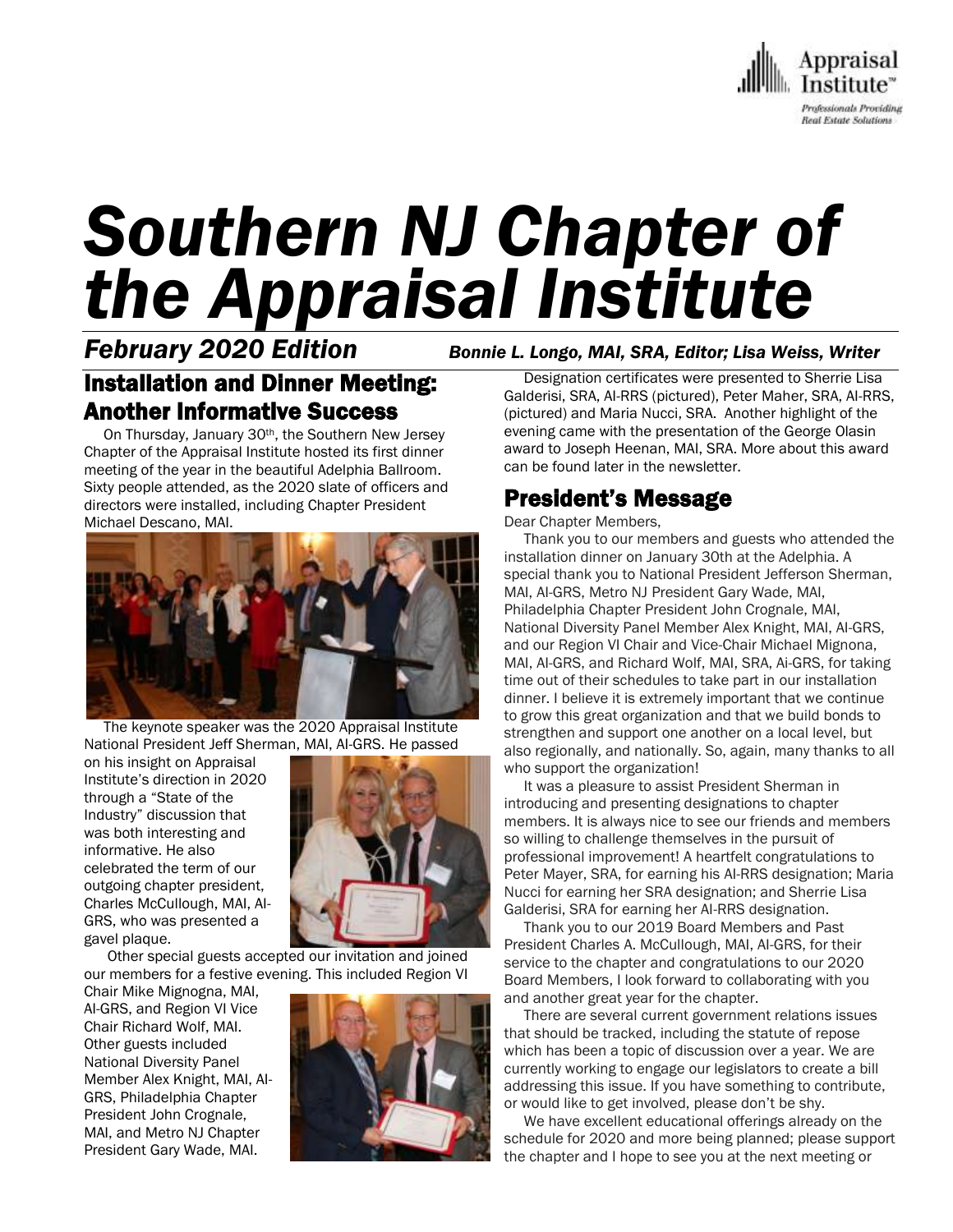

# *Southern NJ Chapter of the Appraisal Institute*

*February 2020 Edition Bonnie L. Longo, MAI, SRA, Editor; Lisa Weiss, Writer*

# Installation and Dinner Meeting: Another Informative Success

 On Thursday, January 30th, the Southern New Jersey Chapter of the Appraisal Institute hosted its first dinner meeting of the year in the beautiful Adelphia Ballroom. Sixty people attended, as the 2020 slate of officers and directors were installed, including Chapter President Michael Descano, MAI.



 The keynote speaker was the 2020 Appraisal Institute National President Jeff Sherman, MAI, AI-GRS. He passed

on his insight on Appraisal Institute's direction in 2020 through a "State of the Industry" discussion that was both interesting and informative. He also celebrated the term of our outgoing chapter president, Charles McCullough, MAI, AI-GRS, who was presented a gavel plaque.



 Other special guests accepted our invitation and joined our members for a festive evening. This included Region VI

Chair Mike Mignogna, MAI, AI-GRS, and Region VI Vice Chair Richard Wolf, MAI. Other guests included National Diversity Panel Member Alex Knight, MAI, AI-GRS, Philadelphia Chapter President John Crognale, MAI, and Metro NJ Chapter President Gary Wade, MAI.



 Designation certificates were presented to Sherrie Lisa Galderisi, SRA, AI-RRS (pictured), Peter Maher, SRA, AI-RRS, (pictured) and Maria Nucci, SRA. Another highlight of the evening came with the presentation of the George Olasin award to Joseph Heenan, MAI, SRA. More about this award can be found later in the newsletter.

## President's Message

Dear Chapter Members,

 Thank you to our members and guests who attended the installation dinner on January 30th at the Adelphia. A special thank you to National President Jefferson Sherman, MAI, AI-GRS, Metro NJ President Gary Wade, MAI, Philadelphia Chapter President John Crognale, MAI, National Diversity Panel Member Alex Knight, MAI, AI-GRS, and our Region VI Chair and Vice-Chair Michael Mignona, MAI, AI-GRS, and Richard Wolf, MAI, SRA, Ai-GRS, for taking time out of their schedules to take part in our installation dinner. I believe it is extremely important that we continue to grow this great organization and that we build bonds to strengthen and support one another on a local level, but also regionally, and nationally. So, again, many thanks to all who support the organization!

 It was a pleasure to assist President Sherman in introducing and presenting designations to chapter members. It is always nice to see our friends and members so willing to challenge themselves in the pursuit of professional improvement! A heartfelt congratulations to Peter Mayer, SRA, for earning his AI-RRS designation; Maria Nucci for earning her SRA designation; and Sherrie Lisa Galderisi, SRA for earning her AI-RRS designation.

 Thank you to our 2019 Board Members and Past President Charles A. McCullough, MAI, AI-GRS, for their service to the chapter and congratulations to our 2020 Board Members, I look forward to collaborating with you and another great year for the chapter.

 There are several current government relations issues that should be tracked, including the statute of repose which has been a topic of discussion over a year. We are currently working to engage our legislators to create a bill addressing this issue. If you have something to contribute, or would like to get involved, please don't be shy.

 We have excellent educational offerings already on the schedule for 2020 and more being planned; please support the chapter and I hope to see you at the next meeting or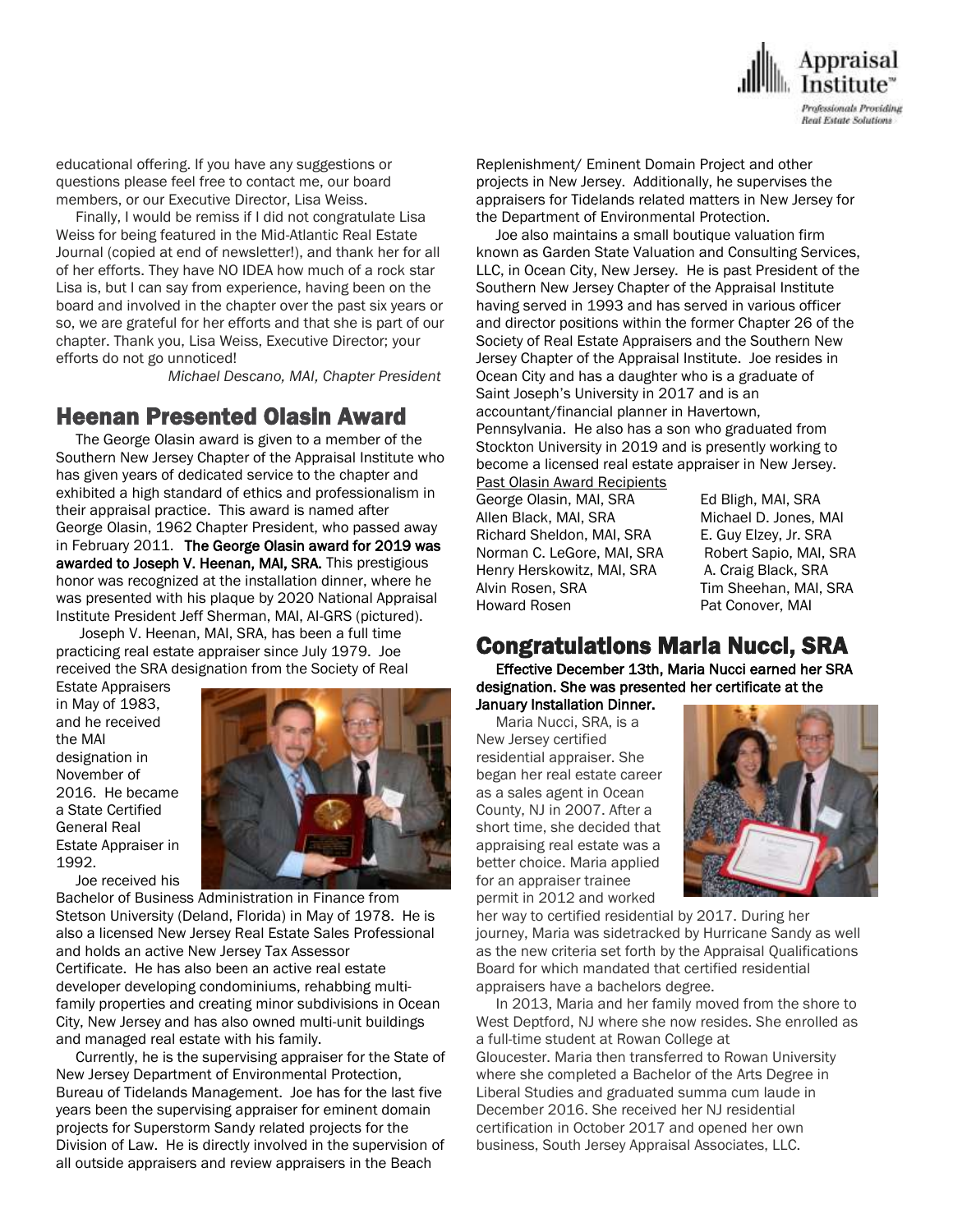

educational offering. If you have any suggestions or questions please feel free to contact me, our board members, or our Executive Director, Lisa Weiss.

 Finally, I would be remiss if I did not congratulate Lisa Weiss for being featured in the Mid-Atlantic Real Estate Journal (copied at end of newsletter!), and thank her for all of her efforts. They have NO IDEA how much of a rock star Lisa is, but I can say from experience, having been on the board and involved in the chapter over the past six years or so, we are grateful for her efforts and that she is part of our chapter. Thank you, Lisa Weiss, Executive Director; your efforts do not go unnoticed!

*Michael Descano, MAI, Chapter President*

#### Heenan Presented Olasin Award

 The George Olasin award is given to a member of the Southern New Jersey Chapter of the Appraisal Institute who has given years of dedicated service to the chapter and exhibited a high standard of ethics and professionalism in their appraisal practice. This award is named after George Olasin, 1962 Chapter President, who passed away in February 2011. The George Olasin award for 2019 was awarded to Joseph V. Heenan, MAI, SRA. This prestigious honor was recognized at the installation dinner, where he was presented with his plaque by 2020 National Appraisal Institute President Jeff Sherman, MAI, AI-GRS (pictured).

 Joseph V. Heenan, MAI, SRA, has been a full time practicing real estate appraiser since July 1979. Joe received the SRA designation from the Society of Real

Estate Appraisers in May of 1983, and he received the MAI designation in November of 2016. He became a State Certified General Real Estate Appraiser in 1992.

Joe received his



Bachelor of Business Administration in Finance from Stetson University (Deland, Florida) in May of 1978. He is also a licensed New Jersey Real Estate Sales Professional and holds an active New Jersey Tax Assessor Certificate. He has also been an active real estate developer developing condominiums, rehabbing multifamily properties and creating minor subdivisions in Ocean City, New Jersey and has also owned multi-unit buildings and managed real estate with his family.

 Currently, he is the supervising appraiser for the State of New Jersey Department of Environmental Protection, Bureau of Tidelands Management. Joe has for the last five years been the supervising appraiser for eminent domain projects for Superstorm Sandy related projects for the Division of Law. He is directly involved in the supervision of all outside appraisers and review appraisers in the Beach

Replenishment/ Eminent Domain Project and other projects in New Jersey. Additionally, he supervises the appraisers for Tidelands related matters in New Jersey for the Department of Environmental Protection.

 Joe also maintains a small boutique valuation firm known as Garden State Valuation and Consulting Services, LLC, in Ocean City, New Jersey. He is past President of the Southern New Jersey Chapter of the Appraisal Institute having served in 1993 and has served in various officer and director positions within the former Chapter 26 of the Society of Real Estate Appraisers and the Southern New Jersey Chapter of the Appraisal Institute. Joe resides in Ocean City and has a daughter who is a graduate of Saint Joseph's University in 2017 and is an accountant/financial planner in Havertown, Pennsylvania. He also has a son who graduated from Stockton University in 2019 and is presently working to become a licensed real estate appraiser in New Jersey.

Past Olasin Award Recipients George Olasin, MAI, SRA Ed Bligh, MAI, SRA Allen Black, MAI, SRA Michael D. Jones, MAI Richard Sheldon, MAI, SRA E. Guy Elzey, Jr. SRA Norman C. LeGore, MAI, SRA Robert Sapio, MAI, SRA Henry Herskowitz, MAI, SRA A. Craig Black, SRA Alvin Rosen, SRA Tim Sheehan, MAI, SRA Howard Rosen **Pat Conover, MAI** 

#### Congratulations Maria Nucci, SRA

 Effective December 13th, Maria Nucci earned her SRA designation. She was presented her certificate at the January Installation Dinner.

 Maria Nucci, SRA, is a New Jersey certified residential appraiser. She began her real estate career as a sales agent in Ocean County, NJ in 2007. After a short time, she decided that appraising real estate was a better choice. Maria applied for an appraiser trainee permit in 2012 and worked



her way to certified residential by 2017. During her journey, Maria was sidetracked by Hurricane Sandy as well as the new criteria set forth by the Appraisal Qualifications Board for which mandated that certified residential appraisers have a bachelors degree.

 In 2013, Maria and her family moved from the shore to West Deptford, NJ where she now resides. She enrolled as a full-time student at Rowan College at

Gloucester. Maria then transferred to Rowan University where she completed a Bachelor of the Arts Degree in Liberal Studies and graduated summa cum laude in December 2016. She received her NJ residential certification in October 2017 and opened her own business, South Jersey Appraisal Associates, LLC.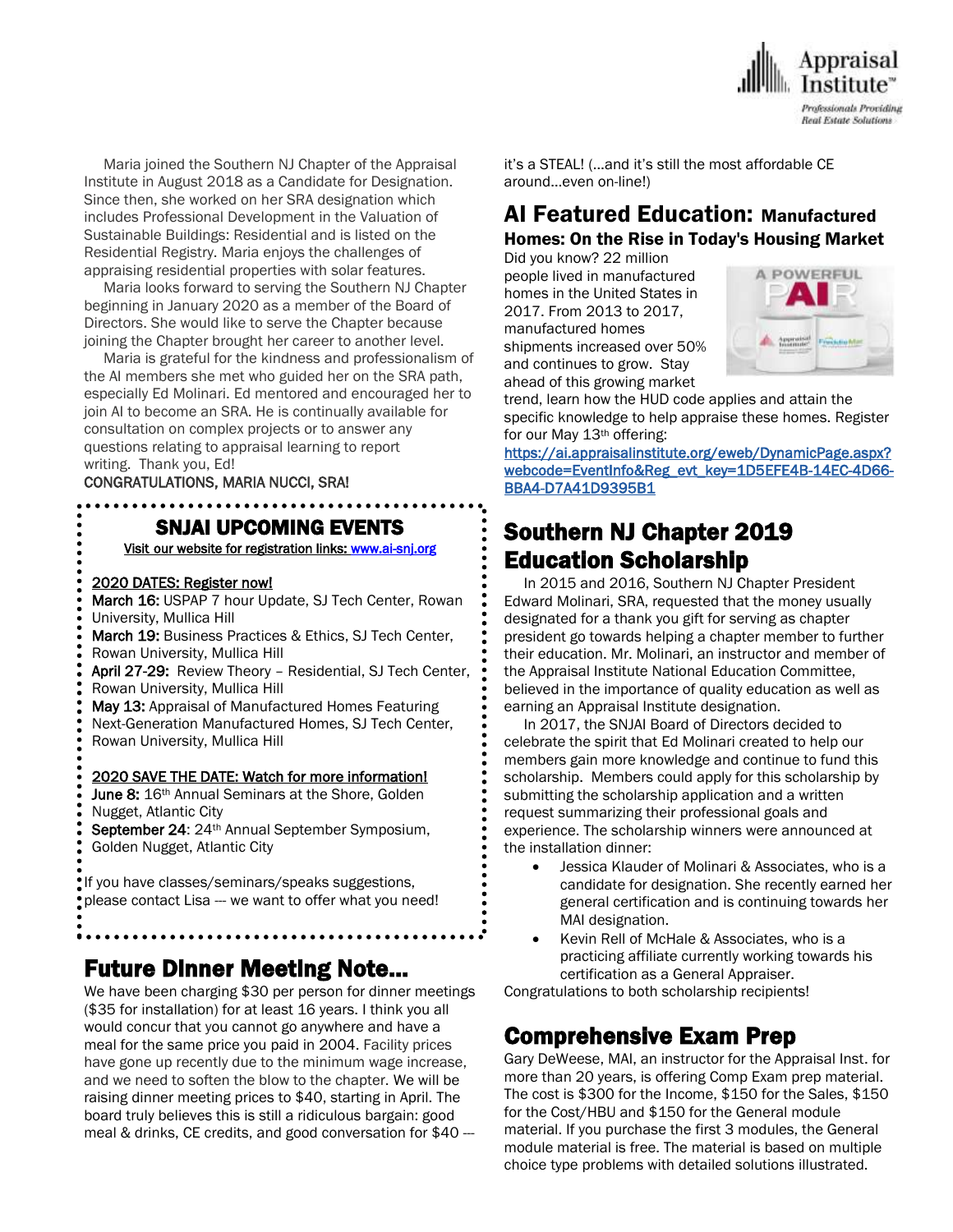

 Maria joined the Southern NJ Chapter of the Appraisal Institute in August 2018 as a Candidate for Designation. Since then, she worked on her SRA designation which includes Professional Development in the Valuation of Sustainable Buildings: Residential and is listed on the Residential Registry. Maria enjoys the challenges of appraising residential properties with solar features.

 Maria looks forward to serving the Southern NJ Chapter beginning in January 2020 as a member of the Board of Directors. She would like to serve the Chapter because joining the Chapter brought her career to another level.

 Maria is grateful for the kindness and professionalism of the AI members she met who guided her on the SRA path, especially Ed Molinari. Ed mentored and encouraged her to join AI to become an SRA. He is continually available for consultation on complex projects or to answer any questions relating to appraisal learning to report writing. Thank you, Ed!

CONGRATULATIONS, MARIA NUCCI, SRA!

. . . . . . . . . . . . . . . .

#### SNJAI UPCOMING EVENTS

[Visit](http://www.myappraisalinstitute.org/education/southernNewJersey) our website for registration links[: www.ai-snj.org](http://www.ai-snj.org/) 

#### 2020 DATES: Register now!

 $\ddot{\phantom{0}}$ 

March 16: USPAP 7 hour Update, SJ Tech Center, Rowan University, Mullica Hill

March 19: Business Practices & Ethics, SJ Tech Center, Rowan University, Mullica Hill

April 27-29: Review Theory - Residential, SJ Tech Center, Rowan University, Mullica Hill

May 13: Appraisal of Manufactured Homes Featuring

 Next-Generation Manufactured Homes, SJ Tech Center, Rowan University, Mullica Hill

2020 SAVE THE DATE: Watch for more information!

June 8: 16<sup>th</sup> Annual Seminars at the Shore, Golden Nugget, Atlantic City

September 24: 24<sup>th</sup> Annual September Symposium, Golden Nugget, Atlantic City

If you have classes/seminars/speaks suggestions, please contact Lisa --- we want to offer what you need!

#### Future Dinner Meeting Note…

.......................

We have been charging \$30 per person for dinner meetings (\$35 for installation) for at least 16 years. I think you all would concur that you cannot go anywhere and have a meal for the same price you paid in 2004. Facility prices have gone up recently due to the minimum wage increase, and we need to soften the blow to the chapter. We will be raising dinner meeting prices to \$40, starting in April. The board truly believes this is still a ridiculous bargain: good meal & drinks, CE credits, and good conversation for \$40 --- it's a STEAL! (…and it's still the most affordable CE around…even on-line!)

#### AI Featured Education: Manufactured Homes: On the Rise in Today's Housing Market

Did you know? 22 million people lived in manufactured homes in the United States in 2017. From 2013 to 2017, manufactured homes shipments increased over 50% and continues to grow. Stay ahead of this growing market



trend, learn how the HUD code applies and attain the specific knowledge to help appraise these homes. Register for our May 13th offering:

[https://ai.appraisalinstitute.org/eweb/DynamicPage.aspx?](https://ai.appraisalinstitute.org/eweb/DynamicPage.aspx?webcode=EventInfo&Reg_evt_key=1D5EFE4B-14EC-4D66-BBA4-D7A41D9395B1) [webcode=EventInfo&Reg\\_evt\\_key=1D5EFE4B-14EC-4D66-](https://ai.appraisalinstitute.org/eweb/DynamicPage.aspx?webcode=EventInfo&Reg_evt_key=1D5EFE4B-14EC-4D66-BBA4-D7A41D9395B1) [BBA4-D7A41D9395B1](https://ai.appraisalinstitute.org/eweb/DynamicPage.aspx?webcode=EventInfo&Reg_evt_key=1D5EFE4B-14EC-4D66-BBA4-D7A41D9395B1)

## Southern NJ Chapter 2019 Education Scholarship

 In 2015 and 2016, Southern NJ Chapter President Edward Molinari, SRA, requested that the money usually designated for a thank you gift for serving as chapter president go towards helping a chapter member to further their education. Mr. Molinari, an instructor and member of the Appraisal Institute National Education Committee, believed in the importance of quality education as well as earning an Appraisal Institute designation.

 In 2017, the SNJAI Board of Directors decided to celebrate the spirit that Ed Molinari created to help our members gain more knowledge and continue to fund this scholarship. Members could apply for this scholarship by submitting the scholarship application and a written request summarizing their professional goals and experience. The scholarship winners were announced at the installation dinner:

- Jessica Klauder of Molinari & Associates, who is a candidate for designation. She recently earned her general certification and is continuing towards her MAI designation.
- Kevin Rell of McHale & Associates, who is a practicing affiliate currently working towards his certification as a General Appraiser.

Congratulations to both scholarship recipients!

#### Comprehensive Exam Prep

Gary DeWeese, MAI, an instructor for the Appraisal Inst. for more than 20 years, is offering Comp Exam prep material. The cost is \$300 for the Income, \$150 for the Sales, \$150 for the Cost/HBU and \$150 for the General module material. If you purchase the first 3 modules, the General module material is free. The material is based on multiple choice type problems with detailed solutions illustrated.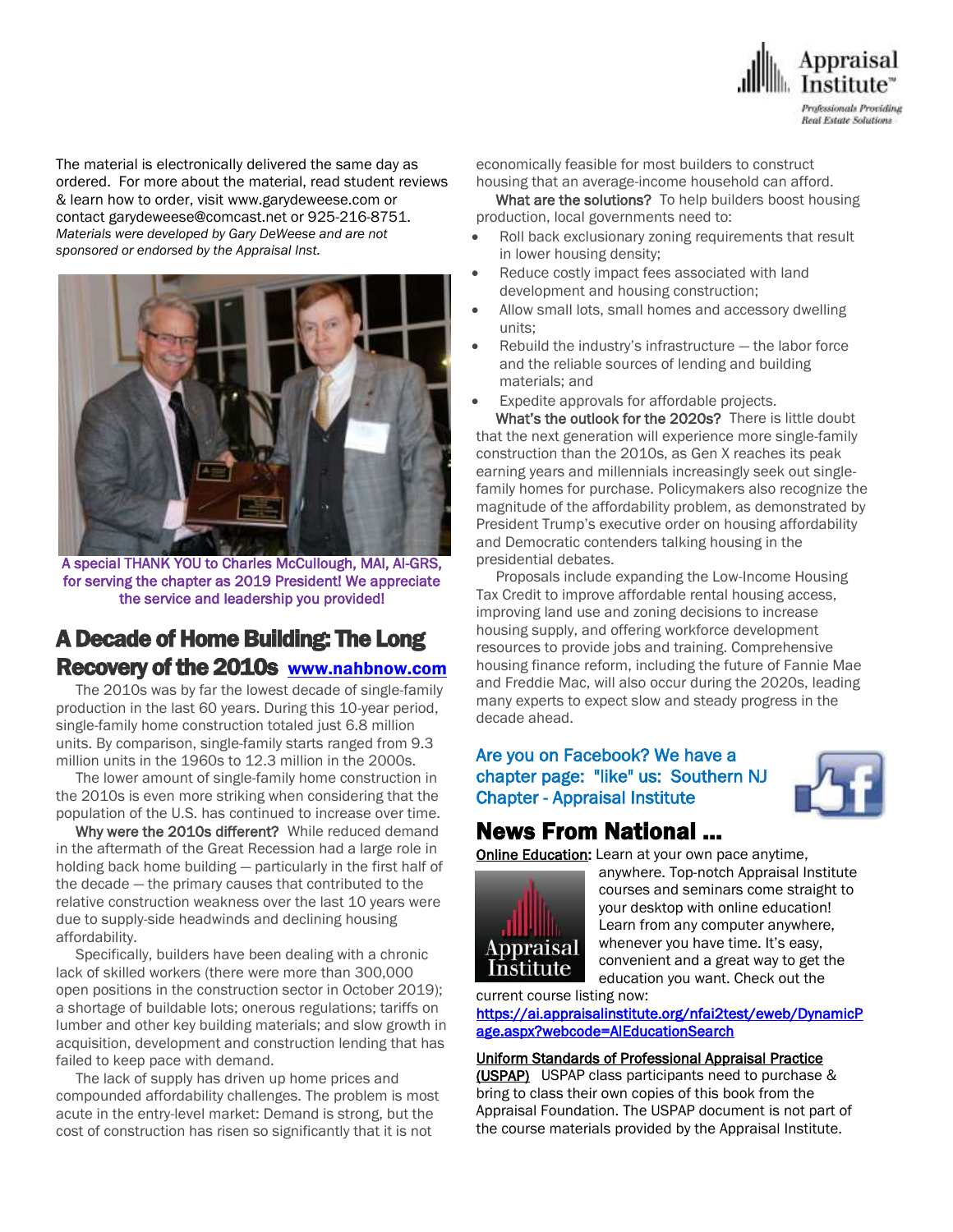

The material is electronically delivered the same day as ordered. For more about the material, read student reviews & learn how to order, visit www.garydeweese.com or contact garydeweese@comcast.net or 925-216-8751. *Materials were developed by Gary DeWeese and are not sponsored or endorsed by the Appraisal Inst.*



A special THANK YOU to Charles McCullough, MAI, AI-GRS, for serving the chapter as 2019 President! We appreciate the service and leadership you provided!

#### [A Decade of Home Building: The Long](https://nahbnow.com/2020/01/home-building-in-the-2010s-the-long-recovery-and-what-lies-ahead/)  [Recovery of the 2010s](https://nahbnow.com/2020/01/home-building-in-the-2010s-the-long-recovery-and-what-lies-ahead/) [www.nahbnow.com](http://www.nahbnow.com/)

 The 2010s was by far the lowest decade of single-family production in the last 60 years. During this 10-year period, single-family home construction totaled just 6.8 million units. By comparison, single-family starts ranged from 9.3 million units in the 1960s to 12.3 million in the 2000s.

 The lower amount of single-family home construction in the 2010s is even more striking when considering that the population of the U.S. has continued to increase over time.

Why were the 2010s different? While reduced demand in the aftermath of the Great Recession had a large role in holding back home building — particularly in the first half of the decade — the primary causes that contributed to the relative construction weakness over the last 10 years were due to supply-side headwinds and declining housing affordability.

 Specifically, builders have been dealing with a chronic lack of skilled workers (there were more than 300,000 open positions in the construction sector in October 2019); a shortage of buildable lots; onerous regulations; tariffs on lumber and other key building materials; and slow growth in acquisition, development and construction lending that has failed to keep pace with demand.

 The lack of supply has driven up home prices and compounded affordability challenges. The problem is most acute in the entry-level market: Demand is strong, but the cost of construction has risen so significantly that it is not

economically feasible for most builders to construct housing that an average-income household can afford.

What are the solutions? To help builders boost housing production, local governments need to:

- Roll back exclusionary zoning requirements that result in lower housing density;
- Reduce costly impact fees associated with land development and housing construction;
- Allow small lots, small homes and accessory dwelling units;
- Rebuild the industry's infrastructure the labor force and the reliable sources of lending and building materials; and
- Expedite approvals for affordable projects.

What's the outlook for the 2020s? There is little doubt that the next generation will experience more single-family construction than the 2010s, as Gen X reaches its peak earning years and millennials increasingly seek out singlefamily homes for purchase. Policymakers also recognize the magnitude of the affordability problem, as demonstrated by President Trump's executive order on housing affordability and Democratic contenders talking housing in the presidential debates.

 Proposals include expanding the Low-Income Housing Tax Credit to improve affordable rental housing access, improving land use and zoning decisions to increase housing supply, and offering workforce development resources to provide jobs and training. Comprehensive housing finance reform, including the future of Fannie Mae and Freddie Mac, will also occur during the 2020s, leading many experts to expect slow and steady progress in the decade ahead.

#### Are you on Facebook? We have a chapter page: "like" us: Southern NJ Chapter - Appraisal Institute



#### News From National …

[Online Education:](http://www.mmsend50.com/ls.cfm?r=99596491&sid=8974475&m=957997&u=Appraise&s=http://www.appraisalinstitute.org/online) Learn at your own pace anytime,



anywhere. Top-notch Appraisal Institute courses and seminars come straight to your desktop with online education! Learn from any computer anywhere, whenever you have time. It's easy, convenient and a great way to get the education you want. Check out the

current course listing now:

[https://ai.appraisalinstitute.org/nfai2test/eweb/DynamicP](https://ai.appraisalinstitute.org/nfai2test/eweb/DynamicPage.aspx?webcode=AIEducationSearch) [age.aspx?webcode=AIEducationSearch](https://ai.appraisalinstitute.org/nfai2test/eweb/DynamicPage.aspx?webcode=AIEducationSearch) 

#### Uniform Standards of Professional Appraisal Practice

(USPAP) USPAP class participants need to purchase & bring to class their own copies of this book from the Appraisal Foundation. The USPAP document is not part of the course materials provided by the Appraisal Institute.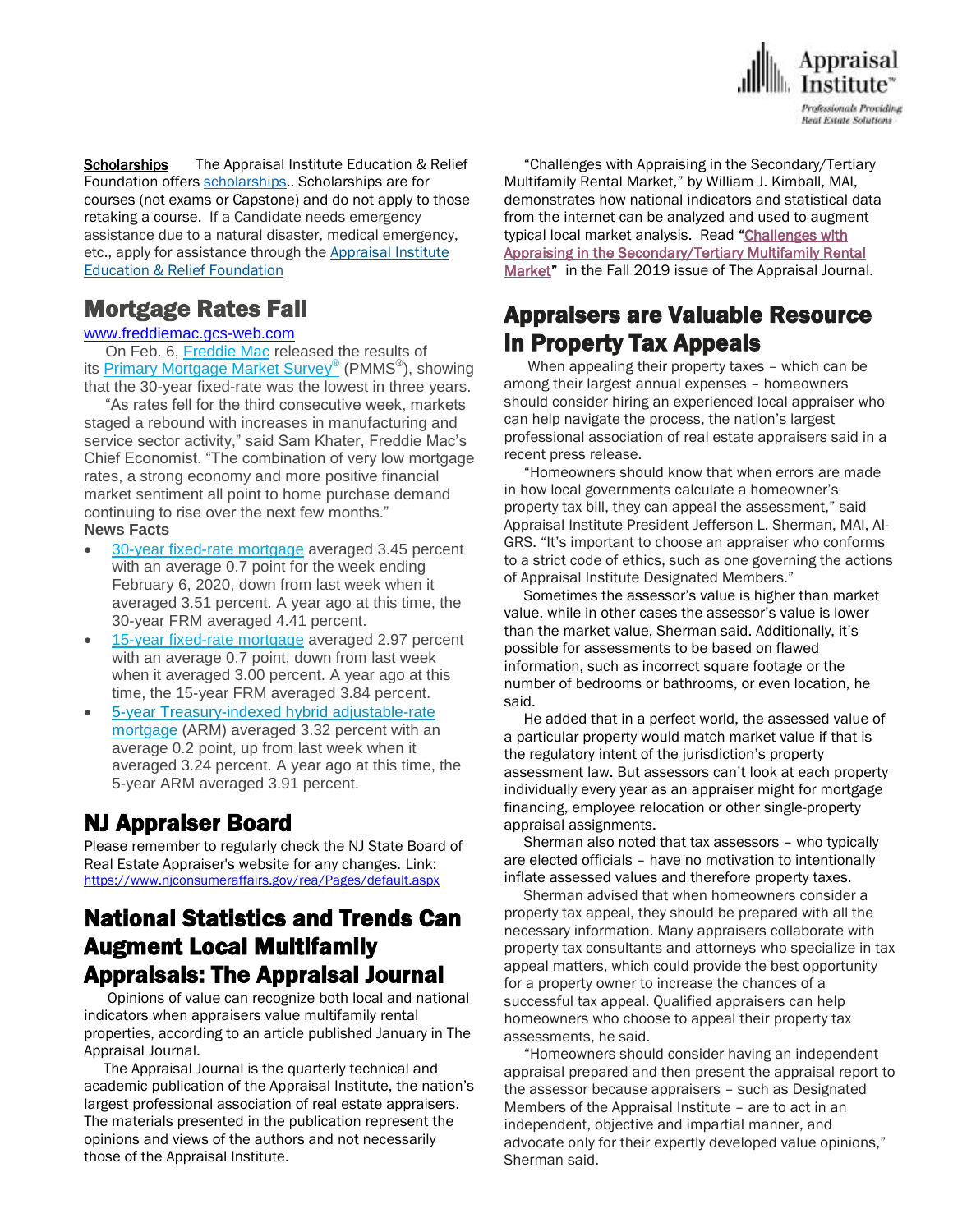

Scholarships The Appraisal Institute Education & Relief Foundation offers [scholarships.](http://send.appraisalinstitute.org/link.cfm?r=TyxXOooBFM-9kcaVyjABIA~~&pe=k_y06NsR9-tB3atEDYdXWLTTqBM_H3aeIPclU_7mx0sd29sU_T_sOiJTIa3747wAJXWGK_wLmsw-M82swC-Ijw~~&t=jouIQRRPlOfDkLqJe5AmNA~~). Scholarships are for courses (not exams or Capstone) and do not apply to those retaking a course. If a Candidate needs emergency assistance due to a natural disaster, medical emergency, etc., apply for assistance through the Appraisal Institute Education & Relief Foundation

#### Mortgage Rates Fall

#### [www.freddiemac.gcs-web.com](http://www.freddiemac.gcs-web.com/)

On Feb. 6, [Freddie Mac](http://www.freddiemac.com/) released the results of its [Primary Mortgage Market Survey](http://www.freddiemac.com/pmms/index.html?intcmp=CWS-HP)<sup>®</sup> (PMMS<sup>®</sup>), showing that the 30-year fixed-rate was the lowest in three years.

 "As rates fell for the third consecutive week, markets staged a rebound with increases in manufacturing and service sector activity," said Sam Khater, Freddie Mac's Chief Economist. "The combination of very low mortgage rates, a strong economy and more positive financial market sentiment all point to home purchase demand continuing to rise over the next few months." **News Facts**

#### [30-year fixed-rate mortgage](http://www.freddiemac.com/pmms/pmms_archives.html) averaged 3.45 percent with an average 0.7 point for the week ending February 6, 2020, down from last week when it averaged 3.51 percent. A year ago at this time, the 30-year FRM averaged 4.41 percent.

- [15-year fixed-rate mortgage](http://www.freddiemac.com/pmms/pmms_archives.html) averaged 2.97 percent with an average 0.7 point, down from last week when it averaged 3.00 percent. A year ago at this time, the 15-year FRM averaged 3.84 percent.
- [5-year Treasury-indexed hybrid adjustable-rate](http://www.freddiemac.com/pmms/pmms_archives.html?_ga=2.26005241.510564129.1581535587-1027260398.1581535587) [mortgage](http://www.freddiemac.com/pmms/pmms_archives.html?_ga=2.26005241.510564129.1581535587-1027260398.1581535587) (ARM) averaged 3.32 percent with an average 0.2 point, up from last week when it averaged 3.24 percent. A year ago at this time, the 5-year ARM averaged 3.91 percent.

# NJ Appraiser Board

Please remember to regularly check the NJ State Board of Real Estate Appraiser's website for any changes. Link: <https://www.njconsumeraffairs.gov/rea/Pages/default.aspx>

## National Statistics and Trends Can Augment Local Multifamily Appraisals: The Appraisal Journal

 Opinions of value can recognize both local and national indicators when appraisers value multifamily rental properties, according to an article published January in The Appraisal Journal.

 The Appraisal Journal is the quarterly technical and academic publication of the Appraisal Institute, the nation's largest professional association of real estate appraisers. The materials presented in the publication represent the opinions and views of the authors and not necessarily those of the Appraisal Institute.

 "Challenges with Appraising in the Secondary/Tertiary Multifamily Rental Market," by William J. Kimball, MAI, demonstrates how national indicators and statistical data from the internet can be analyzed and used to augment typical local market analysis. Read "Challenges with [Appraising in the Secondary/Tertiary Multifamily Rental](https://u7061146.ct.sendgrid.net/wf/click?upn=84Em28S1K9SvtzcUtu04EoWk-2BNqMsLoZe3YUJkw4lo0ynrpCVbpYcrUhqXWuGp3nv7aDlAzwMs-2BDntepj3SsTl-2FBBJ72xb-2BvzFIA4CDHtxk-3D_YRPfbc9BSCpXKTgdcsJ3-2BdZ9g32aJO-2Biq53XIHTGXdPSCWuUi9-2BY6YFy98ZD0OCM91-2B1BhN0lDKy6saJ-2FIaXt1W1ju27t0nAbEQ7uqog-2BIi5t0puBbJ4XOvbRjh8cMa7-2BDq8ZC3QDY5p0KJH-2BNXM0HXDGmw61pj8gJf4ufpKb4xz-2FfjQ8h72o2JGYMx3whpNc01RB1dCaiLmMbe0QQ7B14BUTy7UuWDyR37BBq8xJ-2B6zUrb03rlqdmUc9StjBdxnENLg8cgDrcy-2Bpxrdja-2BWzU153Jjk0xvRLnSutLSn-2BgoqJBHfJ80JhsrIoGucTmOSl-2BUByGKAyq8-2F3cFsc4IpNcNGLi70jaE6qoRiG49FqRI-3D)  [Market](https://u7061146.ct.sendgrid.net/wf/click?upn=84Em28S1K9SvtzcUtu04EoWk-2BNqMsLoZe3YUJkw4lo0ynrpCVbpYcrUhqXWuGp3nv7aDlAzwMs-2BDntepj3SsTl-2FBBJ72xb-2BvzFIA4CDHtxk-3D_YRPfbc9BSCpXKTgdcsJ3-2BdZ9g32aJO-2Biq53XIHTGXdPSCWuUi9-2BY6YFy98ZD0OCM91-2B1BhN0lDKy6saJ-2FIaXt1W1ju27t0nAbEQ7uqog-2BIi5t0puBbJ4XOvbRjh8cMa7-2BDq8ZC3QDY5p0KJH-2BNXM0HXDGmw61pj8gJf4ufpKb4xz-2FfjQ8h72o2JGYMx3whpNc01RB1dCaiLmMbe0QQ7B14BUTy7UuWDyR37BBq8xJ-2B6zUrb03rlqdmUc9StjBdxnENLg8cgDrcy-2Bpxrdja-2BWzU153Jjk0xvRLnSutLSn-2BgoqJBHfJ80JhsrIoGucTmOSl-2BUByGKAyq8-2F3cFsc4IpNcNGLi70jaE6qoRiG49FqRI-3D)" in the Fall 2019 issue of The Appraisal Journal.

### Appraisers are Valuable Resource in Property Tax Appeals

 When appealing their property taxes – which can be among their largest annual expenses – homeowners should consider hiring an experienced local appraiser who can help navigate the process, the nation's largest professional association of real estate appraisers said in a recent press release.

 "Homeowners should know that when errors are made in how local governments calculate a homeowner's property tax bill, they can appeal the assessment," said Appraisal Institute President Jefferson L. Sherman, MAI, AI-GRS. "It's important to choose an appraiser who conforms to a strict code of ethics, such as one governing the actions of Appraisal Institute Designated Members."

 Sometimes the assessor's value is higher than market value, while in other cases the assessor's value is lower than the market value, Sherman said. Additionally, it's possible for assessments to be based on flawed information, such as incorrect square footage or the number of bedrooms or bathrooms, or even location, he said.

 He added that in a perfect world, the assessed value of a particular property would match market value if that is the regulatory intent of the jurisdiction's property assessment law. But assessors can't look at each property individually every year as an appraiser might for mortgage financing, employee relocation or other single-property appraisal assignments.

 Sherman also noted that tax assessors – who typically are elected officials – have no motivation to intentionally inflate assessed values and therefore property taxes.

 Sherman advised that when homeowners consider a property tax appeal, they should be prepared with all the necessary information. Many appraisers collaborate with property tax consultants and attorneys who specialize in tax appeal matters, which could provide the best opportunity for a property owner to increase the chances of a successful tax appeal. Qualified appraisers can help homeowners who choose to appeal their property tax assessments, he said.

 "Homeowners should consider having an independent appraisal prepared and then present the appraisal report to the assessor because appraisers – such as Designated Members of the Appraisal Institute – are to act in an independent, objective and impartial manner, and advocate only for their expertly developed value opinions," Sherman said.